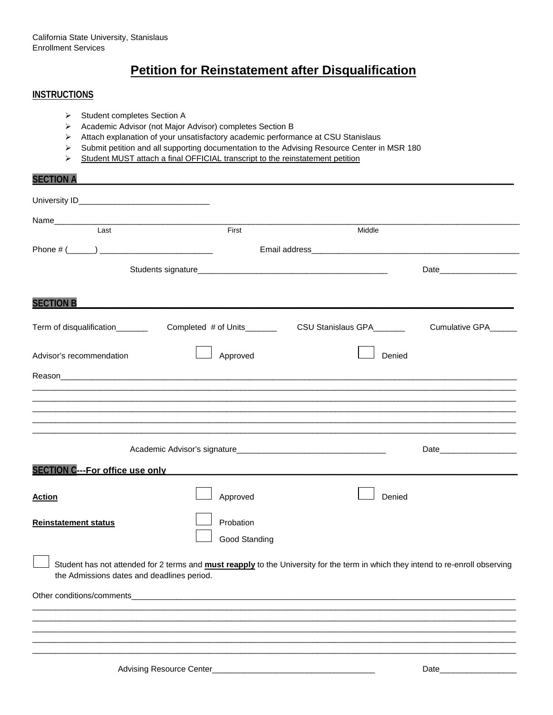## **Petition for Reinstatement after Disqualification**

#### **INSTRUCTIONS**

- Student completes Section A
- Academic Advisor (not Major Advisor) completes Section B
- Attach explanation of your unsatisfactory academic performance at CSU Stanislaus
- $\triangleright$  Submit petition and all supporting documentation to the Advising Resource Center in MSR 180
- Student MUST attach a final OFFICIAL transcript to the reinstatement petition

# **SECTION A\_\_\_\_\_\_\_\_\_\_\_\_\_\_\_\_\_\_\_\_\_\_\_\_\_\_\_\_\_\_\_\_\_\_\_\_\_\_\_\_\_\_\_\_\_\_\_\_\_\_\_\_\_\_\_\_\_\_\_\_\_\_\_\_\_\_\_\_\_\_\_\_\_\_\_\_\_\_\_\_\_\_\_\_\_\_\_** University ID **Example 20** Name\_\_\_\_\_\_\_\_\_\_\_\_\_\_\_\_\_\_\_\_\_\_\_\_\_\_\_\_\_\_\_\_\_\_\_\_\_\_\_\_\_\_\_\_\_\_\_\_\_\_\_\_\_\_\_\_\_\_\_\_\_\_\_\_\_\_\_\_\_\_\_\_\_\_\_\_\_\_\_\_\_\_\_\_\_\_\_\_\_\_\_\_\_\_\_\_\_\_\_\_\_\_\_ **Last** Contact Contact Contact Contact Contact Contact Contact Contact Contact Contact Contact Contact Contact Contact Contact Contact Contact Contact Contact Contact Contact Contact Contact Contact Contact Contact Contact Phone # (\_\_\_\_\_\_) \_\_\_\_\_\_\_\_\_\_\_\_\_\_\_\_\_\_\_\_\_\_\_\_\_ Email address\_\_\_\_\_\_\_\_\_\_\_\_\_\_\_\_\_\_\_\_\_\_\_\_\_\_\_\_\_\_\_\_\_\_\_\_\_\_\_\_\_\_\_\_\_\_ Students signature\_\_\_\_\_\_\_\_\_\_\_\_\_\_\_\_\_\_\_\_\_\_\_\_\_\_\_\_\_\_\_\_\_\_\_\_\_\_\_\_\_\_ Date\_\_\_\_\_\_\_\_\_\_\_\_\_\_\_\_\_ **SECTION B\_\_\_\_\_\_\_\_\_\_\_\_\_\_\_\_\_\_\_\_\_\_\_\_\_\_\_\_\_\_\_\_\_\_\_\_\_\_\_\_\_\_\_\_\_\_\_\_\_\_\_\_\_\_\_\_\_\_\_\_\_\_\_\_\_\_\_\_\_\_\_\_\_\_\_\_\_\_\_\_\_\_\_\_\_\_\_** Term of disqualification\_\_\_\_\_\_\_\_ Completed # of Units\_\_\_\_\_\_\_\_ CSU Stanislaus GPA\_\_\_\_\_\_ Cumulative GPA\_\_\_\_\_\_ Advisor's recommendation **Advisor's recommendation** Approved Denied Reason\_\_\_\_\_\_\_\_\_\_\_\_\_\_\_\_\_\_\_\_\_\_\_\_\_\_\_\_\_\_\_\_\_\_\_\_\_\_\_\_\_\_\_\_\_\_\_\_\_\_\_\_\_\_\_\_\_\_\_\_\_\_\_\_\_\_\_\_\_\_\_\_\_\_\_\_\_\_\_\_\_\_\_\_\_\_\_\_\_\_\_\_\_\_\_\_\_\_\_\_\_ \_\_\_\_\_\_\_\_\_\_\_\_\_\_\_\_\_\_\_\_\_\_\_\_\_\_\_\_\_\_\_\_\_\_\_\_\_\_\_\_\_\_\_\_\_\_\_\_\_\_\_\_\_\_\_\_\_\_\_\_\_\_\_\_\_\_\_\_\_\_\_\_\_\_\_\_\_\_\_\_\_\_\_\_\_\_\_\_\_\_\_\_\_\_\_\_\_\_\_\_\_\_\_\_\_\_\_ \_\_\_\_\_\_\_\_\_\_\_\_\_\_\_\_\_\_\_\_\_\_\_\_\_\_\_\_\_\_\_\_\_\_\_\_\_\_\_\_\_\_\_\_\_\_\_\_\_\_\_\_\_\_\_\_\_\_\_\_\_\_\_\_\_\_\_\_\_\_\_\_\_\_\_\_\_\_\_\_\_\_\_\_\_\_\_\_\_\_\_\_\_\_\_\_\_\_\_\_\_\_\_\_\_\_\_ \_\_\_\_\_\_\_\_\_\_\_\_\_\_\_\_\_\_\_\_\_\_\_\_\_\_\_\_\_\_\_\_\_\_\_\_\_\_\_\_\_\_\_\_\_\_\_\_\_\_\_\_\_\_\_\_\_\_\_\_\_\_\_\_\_\_\_\_\_\_\_\_\_\_\_\_\_\_\_\_\_\_\_\_\_\_\_\_\_\_\_\_\_\_\_\_\_\_\_\_\_\_\_\_\_\_\_ \_\_\_\_\_\_\_\_\_\_\_\_\_\_\_\_\_\_\_\_\_\_\_\_\_\_\_\_\_\_\_\_\_\_\_\_\_\_\_\_\_\_\_\_\_\_\_\_\_\_\_\_\_\_\_\_\_\_\_\_\_\_\_\_\_\_\_\_\_\_\_\_\_\_\_\_\_\_\_\_\_\_\_\_\_\_\_\_\_\_\_\_\_\_\_\_\_\_\_\_\_\_\_\_\_\_\_ \_\_\_\_\_\_\_\_\_\_\_\_\_\_\_\_\_\_\_\_\_\_\_\_\_\_\_\_\_\_\_\_\_\_\_\_\_\_\_\_\_\_\_\_\_\_\_\_\_\_\_\_\_\_\_\_\_\_\_\_\_\_\_\_\_\_\_\_\_\_\_\_\_\_\_\_\_\_\_\_\_\_\_\_\_\_\_\_\_\_\_\_\_\_\_\_\_\_\_\_\_\_\_\_\_\_\_ Academic Advisor's signature\_\_\_\_\_\_\_\_\_\_\_\_\_\_\_\_\_\_\_\_\_\_\_\_\_\_\_\_\_\_\_\_\_ Date\_\_\_\_\_\_\_\_\_\_\_\_\_\_\_\_\_ SECTION **C---For office use only** Action **Action Action Approved Approved Approved** Denied **Reinstatement status Probation**  Good Standing Student has not attended for 2 terms and **must reapply** to the University for the term in which they intend to re-enroll observing the Admissions dates and deadlines period.

\_\_\_\_\_\_\_\_\_\_\_\_\_\_\_\_\_\_\_\_\_\_\_\_\_\_\_\_\_\_\_\_\_\_\_\_\_\_\_\_\_\_\_\_\_\_\_\_\_\_\_\_\_\_\_\_\_\_\_\_\_\_\_\_\_\_\_\_\_\_\_\_\_\_\_\_\_\_\_\_\_\_\_\_\_\_\_\_\_\_\_\_\_\_\_\_\_\_\_\_\_\_\_\_\_\_\_ \_\_\_\_\_\_\_\_\_\_\_\_\_\_\_\_\_\_\_\_\_\_\_\_\_\_\_\_\_\_\_\_\_\_\_\_\_\_\_\_\_\_\_\_\_\_\_\_\_\_\_\_\_\_\_\_\_\_\_\_\_\_\_\_\_\_\_\_\_\_\_\_\_\_\_\_\_\_\_\_\_\_\_\_\_\_\_\_\_\_\_\_\_\_\_\_\_\_\_\_\_\_\_\_\_\_\_ \_\_\_\_\_\_\_\_\_\_\_\_\_\_\_\_\_\_\_\_\_\_\_\_\_\_\_\_\_\_\_\_\_\_\_\_\_\_\_\_\_\_\_\_\_\_\_\_\_\_\_\_\_\_\_\_\_\_\_\_\_\_\_\_\_\_\_\_\_\_\_\_\_\_\_\_\_\_\_\_\_\_\_\_\_\_\_\_\_\_\_\_\_\_\_\_\_\_\_\_\_\_\_\_\_\_\_ \_\_\_\_\_\_\_\_\_\_\_\_\_\_\_\_\_\_\_\_\_\_\_\_\_\_\_\_\_\_\_\_\_\_\_\_\_\_\_\_\_\_\_\_\_\_\_\_\_\_\_\_\_\_\_\_\_\_\_\_\_\_\_\_\_\_\_\_\_\_\_\_\_\_\_\_\_\_\_\_\_\_\_\_\_\_\_\_\_\_\_\_\_\_\_\_\_\_\_\_\_\_\_\_\_\_\_ \_\_\_\_\_\_\_\_\_\_\_\_\_\_\_\_\_\_\_\_\_\_\_\_\_\_\_\_\_\_\_\_\_\_\_\_\_\_\_\_\_\_\_\_\_\_\_\_\_\_\_\_\_\_\_\_\_\_\_\_\_\_\_\_\_\_\_\_\_\_\_\_\_\_\_\_\_\_\_\_\_\_\_\_\_\_\_\_\_\_\_\_\_\_\_\_\_\_\_\_\_\_\_\_\_\_\_

Other conditions/comments